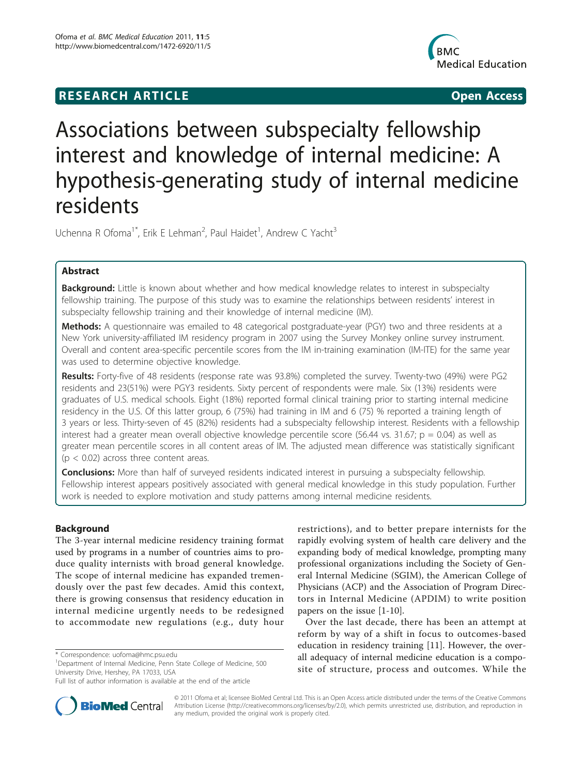# **RESEARCH ARTICLE Example 2018 CONSIDERING ACCESS**



# Associations between subspecialty fellowship interest and knowledge of internal medicine: A hypothesis-generating study of internal medicine residents

Uchenna R Ofoma<sup>1\*</sup>, Erik E Lehman<sup>2</sup>, Paul Haidet<sup>1</sup>, Andrew C Yacht<sup>3</sup>

# Abstract

**Background:** Little is known about whether and how medical knowledge relates to interest in subspecialty fellowship training. The purpose of this study was to examine the relationships between residents' interest in subspecialty fellowship training and their knowledge of internal medicine (IM).

Methods: A questionnaire was emailed to 48 categorical postgraduate-year (PGY) two and three residents at a New York university-affiliated IM residency program in 2007 using the Survey Monkey online survey instrument. Overall and content area-specific percentile scores from the IM in-training examination (IM-ITE) for the same year was used to determine objective knowledge.

Results: Forty-five of 48 residents (response rate was 93.8%) completed the survey. Twenty-two (49%) were PG2 residents and 23(51%) were PGY3 residents. Sixty percent of respondents were male. Six (13%) residents were graduates of U.S. medical schools. Eight (18%) reported formal clinical training prior to starting internal medicine residency in the U.S. Of this latter group, 6 (75%) had training in IM and 6 (75) % reported a training length of 3 years or less. Thirty-seven of 45 (82%) residents had a subspecialty fellowship interest. Residents with a fellowship interest had a greater mean overall objective knowledge percentile score (56.44 vs. 31.67;  $p = 0.04$ ) as well as greater mean percentile scores in all content areas of IM. The adjusted mean difference was statistically significant  $(p < 0.02)$  across three content areas.

**Conclusions:** More than half of surveyed residents indicated interest in pursuing a subspecialty fellowship. Fellowship interest appears positively associated with general medical knowledge in this study population. Further work is needed to explore motivation and study patterns among internal medicine residents.

# Background

The 3-year internal medicine residency training format used by programs in a number of countries aims to produce quality internists with broad general knowledge. The scope of internal medicine has expanded tremendously over the past few decades. Amid this context, there is growing consensus that residency education in internal medicine urgently needs to be redesigned to accommodate new regulations (e.g., duty hour

\* Correspondence: [uofoma@hmc.psu.edu](mailto:uofoma@hmc.psu.edu)

<sup>1</sup>Department of Internal Medicine, Penn State College of Medicine, 500 University Drive, Hershey, PA 17033, USA

restrictions), and to better prepare internists for the rapidly evolving system of health care delivery and the expanding body of medical knowledge, prompting many professional organizations including the Society of General Internal Medicine (SGIM), the American College of Physicians (ACP) and the Association of Program Directors in Internal Medicine (APDIM) to write position papers on the issue [\[1](#page-5-0)-[10\]](#page-5-0).

Over the last decade, there has been an attempt at reform by way of a shift in focus to outcomes-based education in residency training [\[11](#page-5-0)]. However, the overall adequacy of internal medicine education is a composite of structure, process and outcomes. While the



© 2011 Ofoma et al; licensee BioMed Central Ltd. This is an Open Access article distributed under the terms of the Creative Commons Attribution License [\(http://creativecommons.org/licenses/by/2.0](http://creativecommons.org/licenses/by/2.0)), which permits unrestricted use, distribution, and reproduction in any medium, provided the original work is properly cited.

Full list of author information is available at the end of the article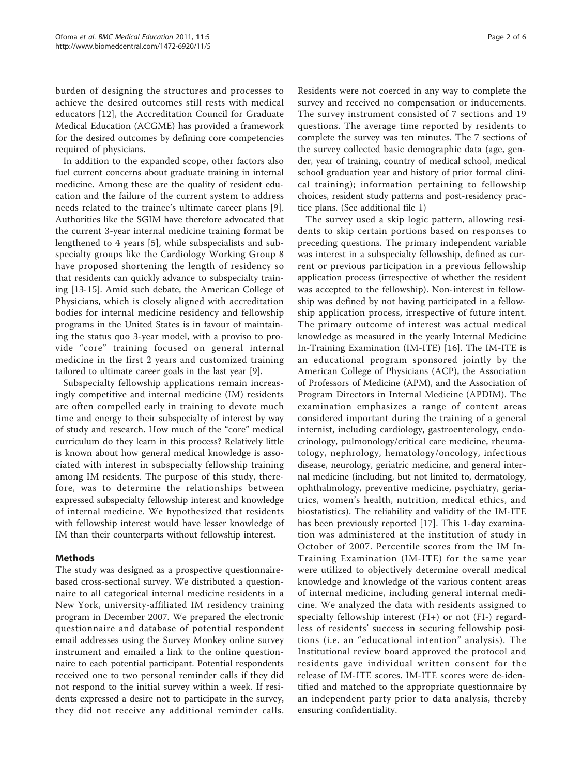burden of designing the structures and processes to achieve the desired outcomes still rests with medical educators [[12](#page-5-0)], the Accreditation Council for Graduate Medical Education (ACGME) has provided a framework for the desired outcomes by defining core competencies required of physicians.

In addition to the expanded scope, other factors also fuel current concerns about graduate training in internal medicine. Among these are the quality of resident education and the failure of the current system to address needs related to the trainee's ultimate career plans [[9](#page-5-0)]. Authorities like the SGIM have therefore advocated that the current 3-year internal medicine training format be lengthened to 4 years [\[5](#page-5-0)], while subspecialists and subspecialty groups like the Cardiology Working Group 8 have proposed shortening the length of residency so that residents can quickly advance to subspecialty training [[13-15](#page-5-0)]. Amid such debate, the American College of Physicians, which is closely aligned with accreditation bodies for internal medicine residency and fellowship programs in the United States is in favour of maintaining the status quo 3-year model, with a proviso to provide "core" training focused on general internal medicine in the first 2 years and customized training tailored to ultimate career goals in the last year [\[9](#page-5-0)].

Subspecialty fellowship applications remain increasingly competitive and internal medicine (IM) residents are often compelled early in training to devote much time and energy to their subspecialty of interest by way of study and research. How much of the "core" medical curriculum do they learn in this process? Relatively little is known about how general medical knowledge is associated with interest in subspecialty fellowship training among IM residents. The purpose of this study, therefore, was to determine the relationships between expressed subspecialty fellowship interest and knowledge of internal medicine. We hypothesized that residents with fellowship interest would have lesser knowledge of IM than their counterparts without fellowship interest.

# Methods

The study was designed as a prospective questionnairebased cross-sectional survey. We distributed a questionnaire to all categorical internal medicine residents in a New York, university-affiliated IM residency training program in December 2007. We prepared the electronic questionnaire and database of potential respondent email addresses using the Survey Monkey online survey instrument and emailed a link to the online questionnaire to each potential participant. Potential respondents received one to two personal reminder calls if they did not respond to the initial survey within a week. If residents expressed a desire not to participate in the survey, they did not receive any additional reminder calls.

Residents were not coerced in any way to complete the survey and received no compensation or inducements. The survey instrument consisted of 7 sections and 19 questions. The average time reported by residents to complete the survey was ten minutes. The 7 sections of the survey collected basic demographic data (age, gender, year of training, country of medical school, medical school graduation year and history of prior formal clinical training); information pertaining to fellowship choices, resident study patterns and post-residency practice plans. (See additional file [1](#page-5-0))

The survey used a skip logic pattern, allowing residents to skip certain portions based on responses to preceding questions. The primary independent variable was interest in a subspecialty fellowship, defined as current or previous participation in a previous fellowship application process (irrespective of whether the resident was accepted to the fellowship). Non-interest in fellowship was defined by not having participated in a fellowship application process, irrespective of future intent. The primary outcome of interest was actual medical knowledge as measured in the yearly Internal Medicine In-Training Examination (IM-ITE) [[16](#page-5-0)]. The IM-ITE is an educational program sponsored jointly by the American College of Physicians (ACP), the Association of Professors of Medicine (APM), and the Association of Program Directors in Internal Medicine (APDIM). The examination emphasizes a range of content areas considered important during the training of a general internist, including cardiology, gastroenterology, endocrinology, pulmonology/critical care medicine, rheumatology, nephrology, hematology/oncology, infectious disease, neurology, geriatric medicine, and general internal medicine (including, but not limited to, dermatology, ophthalmology, preventive medicine, psychiatry, geriatrics, women's health, nutrition, medical ethics, and biostatistics). The reliability and validity of the IM-ITE has been previously reported [[17](#page-5-0)]. This 1-day examination was administered at the institution of study in October of 2007. Percentile scores from the IM In-Training Examination (IM-ITE) for the same year were utilized to objectively determine overall medical knowledge and knowledge of the various content areas of internal medicine, including general internal medicine. We analyzed the data with residents assigned to specialty fellowship interest (FI+) or not (FI-) regardless of residents' success in securing fellowship positions (i.e. an "educational intention" analysis). The Institutional review board approved the protocol and residents gave individual written consent for the release of IM-ITE scores. IM-ITE scores were de-identified and matched to the appropriate questionnaire by an independent party prior to data analysis, thereby ensuring confidentiality.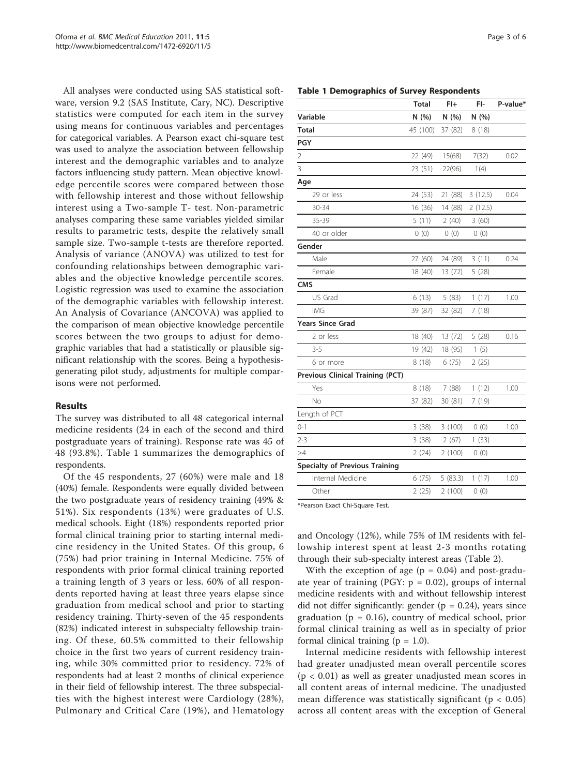<span id="page-2-0"></span>All analyses were conducted using SAS statistical software, version 9.2 (SAS Institute, Cary, NC). Descriptive statistics were computed for each item in the survey using means for continuous variables and percentages for categorical variables. A Pearson exact chi-square test was used to analyze the association between fellowship interest and the demographic variables and to analyze factors influencing study pattern. Mean objective knowledge percentile scores were compared between those with fellowship interest and those without fellowship interest using a Two-sample T- test. Non-parametric analyses comparing these same variables yielded similar results to parametric tests, despite the relatively small sample size. Two-sample t-tests are therefore reported. Analysis of variance (ANOVA) was utilized to test for confounding relationships between demographic variables and the objective knowledge percentile scores. Logistic regression was used to examine the association of the demographic variables with fellowship interest. An Analysis of Covariance (ANCOVA) was applied to the comparison of mean objective knowledge percentile scores between the two groups to adjust for demographic variables that had a statistically or plausible significant relationship with the scores. Being a hypothesisgenerating pilot study, adjustments for multiple comparisons were not performed.

# Results

The survey was distributed to all 48 categorical internal medicine residents (24 in each of the second and third postgraduate years of training). Response rate was 45 of 48 (93.8%). Table 1 summarizes the demographics of respondents.

Of the 45 respondents, 27 (60%) were male and 18 (40%) female. Respondents were equally divided between the two postgraduate years of residency training (49% & 51%). Six respondents (13%) were graduates of U.S. medical schools. Eight (18%) respondents reported prior formal clinical training prior to starting internal medicine residency in the United States. Of this group, 6 (75%) had prior training in Internal Medicine. 75% of respondents with prior formal clinical training reported a training length of 3 years or less. 60% of all respondents reported having at least three years elapse since graduation from medical school and prior to starting residency training. Thirty-seven of the 45 respondents (82%) indicated interest in subspecialty fellowship training. Of these, 60.5% committed to their fellowship choice in the first two years of current residency training, while 30% committed prior to residency. 72% of respondents had at least 2 months of clinical experience in their field of fellowship interest. The three subspecialties with the highest interest were Cardiology (28%), Pulmonary and Critical Care (19%), and Hematology

#### Table 1 Demographics of Survey Respondents

|                                         | <b>Total</b> | $FI+$   | FI-     | P-value* |
|-----------------------------------------|--------------|---------|---------|----------|
| Variable                                | N(%)         | N(%)    | N(% )   |          |
| <b>Total</b>                            | 45 (100)     | 37 (82) | 8(18)   |          |
| PGY                                     |              |         |         |          |
| $\overline{c}$                          | 22 (49)      | 15(68)  | 7(32)   | 0.02     |
| 3                                       | 23 (51)      | 22(96)  | 1(4)    |          |
| Age                                     |              |         |         |          |
| 29 or less                              | 24 (53)      | 21 (88) | 3(12.5) | 0.04     |
| 30-34                                   | 16 (36)      | 14 (88) | 2(12.5) |          |
| 35-39                                   | 5(11)        | 2(40)   | 3(60)   |          |
| 40 or older                             | 0(0)         | 0(0)    | 0(0)    |          |
| Gender                                  |              |         |         |          |
| Male                                    | 27 (60)      | 24 (89) | 3(11)   | 0.24     |
| Female                                  | 18 (40)      | 13 (72) | 5(28)   |          |
| <b>CMS</b>                              |              |         |         |          |
| US Grad                                 | 6(13)        | 5(83)   | 1(17)   | 1.00     |
| <b>IMG</b>                              | 39 (87)      | 32 (82) | 7(18)   |          |
| <b>Years Since Grad</b>                 |              |         |         |          |
| 2 or less                               | 18 (40)      | 13 (72) | 5(28)   | 0.16     |
| $3 - 5$                                 | 19 (42)      | 18 (95) | 1(5)    |          |
| 6 or more                               | 8 (18)       | 6(75)   | 2(25)   |          |
| <b>Previous Clinical Training (PCT)</b> |              |         |         |          |
| Yes                                     | 8(18)        | 7(88)   | 1(12)   | 1.00     |
| No                                      | 37 (82)      | 30 (81) | 7(19)   |          |
| Length of PCT                           |              |         |         |          |
| $0 - 1$                                 | 3(38)        | 3 (100) | 0(0)    | 1.00     |
| $2 - 3$                                 | 3(38)        | 2(67)   | 1(33)   |          |
| $\geq 4$                                | 2(24)        | 2(100)  | 0(0)    |          |
| <b>Specialty of Previous Training</b>   |              |         |         |          |
| Internal Medicine                       | 6(75)        | 5(83.3) | 1(17)   | 1.00     |
| Other                                   | 2(25)        | 2(100)  | 0(0)    |          |

\*Pearson Exact Chi-Square Test.

and Oncology (12%), while 75% of IM residents with fellowship interest spent at least 2-3 months rotating through their sub-specialty interest areas (Table [2\)](#page-3-0).

With the exception of age  $(p = 0.04)$  and post-graduate year of training (PGY:  $p = 0.02$ ), groups of internal medicine residents with and without fellowship interest did not differ significantly: gender ( $p = 0.24$ ), years since graduation ( $p = 0.16$ ), country of medical school, prior formal clinical training as well as in specialty of prior formal clinical training  $(p = 1.0)$ .

Internal medicine residents with fellowship interest had greater unadjusted mean overall percentile scores  $(p < 0.01)$  as well as greater unadjusted mean scores in all content areas of internal medicine. The unadjusted mean difference was statistically significant ( $p < 0.05$ ) across all content areas with the exception of General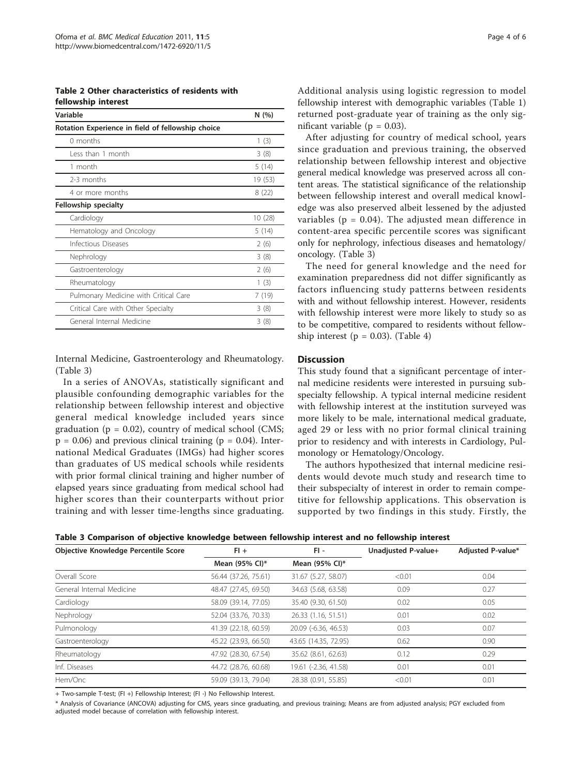<span id="page-3-0"></span>Table 2 Other characteristics of residents with fellowship interest

| Variable                                          | N(%)    |  |  |  |  |
|---------------------------------------------------|---------|--|--|--|--|
| Rotation Experience in field of fellowship choice |         |  |  |  |  |
| 0 months                                          | 1(3)    |  |  |  |  |
| Less than 1 month                                 | 3(8)    |  |  |  |  |
| 1 month                                           | 5(14)   |  |  |  |  |
| 2-3 months                                        | 19 (53) |  |  |  |  |
| 4 or more months                                  | 8(22)   |  |  |  |  |
| <b>Fellowship specialty</b>                       |         |  |  |  |  |
| Cardiology                                        | 10 (28) |  |  |  |  |
| Hematology and Oncology                           | 5(14)   |  |  |  |  |
| Infectious Diseases                               | 2(6)    |  |  |  |  |
| Nephrology                                        | 3(8)    |  |  |  |  |
| Gastroenterology                                  | 2(6)    |  |  |  |  |
| Rheumatology                                      | 1(3)    |  |  |  |  |
| Pulmonary Medicine with Critical Care             | 7(19)   |  |  |  |  |
| Critical Care with Other Specialty                | 3(8)    |  |  |  |  |
| General Internal Medicine                         | 3(8)    |  |  |  |  |
|                                                   |         |  |  |  |  |

Internal Medicine, Gastroenterology and Rheumatology. (Table 3)

In a series of ANOVAs, statistically significant and plausible confounding demographic variables for the relationship between fellowship interest and objective general medical knowledge included years since graduation ( $p = 0.02$ ), country of medical school (CMS;  $p = 0.06$ ) and previous clinical training ( $p = 0.04$ ). International Medical Graduates (IMGs) had higher scores than graduates of US medical schools while residents with prior formal clinical training and higher number of elapsed years since graduating from medical school had higher scores than their counterparts without prior training and with lesser time-lengths since graduating.

Additional analysis using logistic regression to model fellowship interest with demographic variables (Table [1](#page-2-0)) returned post-graduate year of training as the only significant variable ( $p = 0.03$ ).

After adjusting for country of medical school, years since graduation and previous training, the observed relationship between fellowship interest and objective general medical knowledge was preserved across all content areas. The statistical significance of the relationship between fellowship interest and overall medical knowledge was also preserved albeit lessened by the adjusted variables ( $p = 0.04$ ). The adjusted mean difference in content-area specific percentile scores was significant only for nephrology, infectious diseases and hematology/ oncology. (Table 3)

The need for general knowledge and the need for examination preparedness did not differ significantly as factors influencing study patterns between residents with and without fellowship interest. However, residents with fellowship interest were more likely to study so as to be competitive, compared to residents without fellowship interest ( $p = 0.03$ ). (Table [4](#page-4-0))

### **Discussion**

This study found that a significant percentage of internal medicine residents were interested in pursuing subspecialty fellowship. A typical internal medicine resident with fellowship interest at the institution surveyed was more likely to be male, international medical graduate, aged 29 or less with no prior formal clinical training prior to residency and with interests in Cardiology, Pulmonology or Hematology/Oncology.

The authors hypothesized that internal medicine residents would devote much study and research time to their subspecialty of interest in order to remain competitive for fellowship applications. This observation is supported by two findings in this study. Firstly, the

|  | Table 3 Comparison of objective knowledge between fellowship interest and no fellowship interest |  |  |  |  |  |  |  |  |
|--|--------------------------------------------------------------------------------------------------|--|--|--|--|--|--|--|--|
|--|--------------------------------------------------------------------------------------------------|--|--|--|--|--|--|--|--|

| Objective Knowledge Percentile Score | $F1 +$               | FI-                  | Unadjusted P-value+ | Adjusted P-value* |  |
|--------------------------------------|----------------------|----------------------|---------------------|-------------------|--|
|                                      | Mean (95% CI)*       | Mean (95% CI)*       |                     |                   |  |
| Overall Score                        | 56.44 (37.26, 75.61) | 31.67 (5.27, 58.07)  | < 0.01              | 0.04              |  |
| General Internal Medicine            | 48.47 (27.45, 69.50) | 34.63 (5.68, 63.58)  | 0.09                | 0.27              |  |
| Cardiology                           | 58.09 (39.14, 77.05) | 35.40 (9.30, 61.50)  | 0.02                | 0.05              |  |
| Nephrology                           | 52.04 (33.76, 70.33) | 26.33 (1.16, 51.51)  | 0.01                | 0.02              |  |
| Pulmonology                          | 41.39 (22.18, 60.59) | 20.09 (-6.36, 46.53) | 0.03                | 0.07              |  |
| Gastroenterology                     | 45.22 (23.93, 66.50) | 43.65 (14.35, 72.95) | 0.62                | 0.90              |  |
| Rheumatology                         | 47.92 (28.30, 67.54) | 35.62 (8.61, 62.63)  | 0.12                | 0.29              |  |
| Inf. Diseases                        | 44.72 (28.76, 60.68) | 19.61 (-2.36, 41.58) | 0.01                | 0.01              |  |
| Hem/Onc                              | 59.09 (39.13, 79.04) | 28.38 (0.91, 55.85)  | < 0.01              | 0.01              |  |

+ Two-sample T-test; (FI +) Fellowship Interest; (FI -) No Fellowship Interest.

\* Analysis of Covariance (ANCOVA) adjusting for CMS, years since graduating, and previous training; Means are from adjusted analysis; PGY excluded from adjusted model because of correlation with fellowship interest.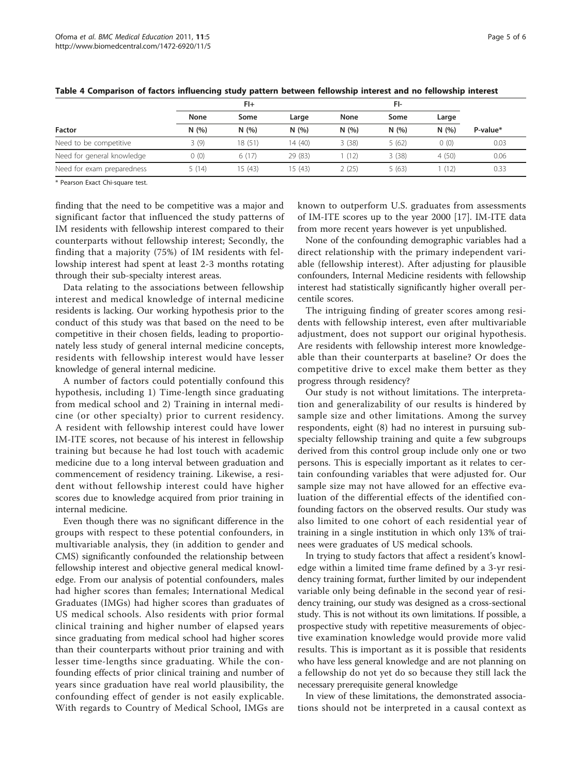|                            |       | $F1+$   |         |       | FI-   |       |          |
|----------------------------|-------|---------|---------|-------|-------|-------|----------|
|                            | None  | Some    | Large   | None  | Some  | Large |          |
| <b>Factor</b>              | N(%)  | N(96)   | N(%)    | N(%)  | N(%)  | N(%)  | P-value* |
| Need to be competitive     | 3(9)  | 18 (51) | 14 (40) | 3(38) | 5(62) | 0(0)  | 0.03     |
| Need for general knowledge | 0(0)  | 6(17)   | 29 (83) | (12)  | 3(38) | 4(50) | 0.06     |
| Need for exam preparedness | 5(14) | 15 (43) | 15 (43) | 2(25) | 5(63) | (12)  | 0.33     |

<span id="page-4-0"></span>Table 4 Comparison of factors influencing study pattern between fellowship interest and no fellowship interest

\* Pearson Exact Chi-square test.

finding that the need to be competitive was a major and significant factor that influenced the study patterns of IM residents with fellowship interest compared to their counterparts without fellowship interest; Secondly, the finding that a majority (75%) of IM residents with fellowship interest had spent at least 2-3 months rotating through their sub-specialty interest areas.

Data relating to the associations between fellowship interest and medical knowledge of internal medicine residents is lacking. Our working hypothesis prior to the conduct of this study was that based on the need to be competitive in their chosen fields, leading to proportionately less study of general internal medicine concepts, residents with fellowship interest would have lesser knowledge of general internal medicine.

A number of factors could potentially confound this hypothesis, including 1) Time-length since graduating from medical school and 2) Training in internal medicine (or other specialty) prior to current residency. A resident with fellowship interest could have lower IM-ITE scores, not because of his interest in fellowship training but because he had lost touch with academic medicine due to a long interval between graduation and commencement of residency training. Likewise, a resident without fellowship interest could have higher scores due to knowledge acquired from prior training in internal medicine.

Even though there was no significant difference in the groups with respect to these potential confounders, in multivariable analysis, they (in addition to gender and CMS) significantly confounded the relationship between fellowship interest and objective general medical knowledge. From our analysis of potential confounders, males had higher scores than females; International Medical Graduates (IMGs) had higher scores than graduates of US medical schools. Also residents with prior formal clinical training and higher number of elapsed years since graduating from medical school had higher scores than their counterparts without prior training and with lesser time-lengths since graduating. While the confounding effects of prior clinical training and number of years since graduation have real world plausibility, the confounding effect of gender is not easily explicable. With regards to Country of Medical School, IMGs are

known to outperform U.S. graduates from assessments of IM-ITE scores up to the year 2000 [[17\]](#page-5-0). IM-ITE data from more recent years however is yet unpublished.

None of the confounding demographic variables had a direct relationship with the primary independent variable (fellowship interest). After adjusting for plausible confounders, Internal Medicine residents with fellowship interest had statistically significantly higher overall percentile scores.

The intriguing finding of greater scores among residents with fellowship interest, even after multivariable adjustment, does not support our original hypothesis. Are residents with fellowship interest more knowledgeable than their counterparts at baseline? Or does the competitive drive to excel make them better as they progress through residency?

Our study is not without limitations. The interpretation and generalizability of our results is hindered by sample size and other limitations. Among the survey respondents, eight (8) had no interest in pursuing subspecialty fellowship training and quite a few subgroups derived from this control group include only one or two persons. This is especially important as it relates to certain confounding variables that were adjusted for. Our sample size may not have allowed for an effective evaluation of the differential effects of the identified confounding factors on the observed results. Our study was also limited to one cohort of each residential year of training in a single institution in which only 13% of trainees were graduates of US medical schools.

In trying to study factors that affect a resident's knowledge within a limited time frame defined by a 3-yr residency training format, further limited by our independent variable only being definable in the second year of residency training, our study was designed as a cross-sectional study. This is not without its own limitations. If possible, a prospective study with repetitive measurements of objective examination knowledge would provide more valid results. This is important as it is possible that residents who have less general knowledge and are not planning on a fellowship do not yet do so because they still lack the necessary prerequisite general knowledge

In view of these limitations, the demonstrated associations should not be interpreted in a causal context as